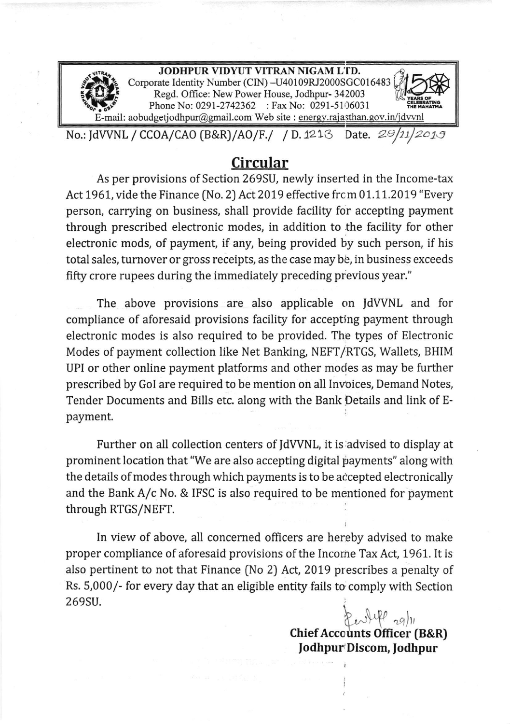

## Circular

As per provisions of Section 269SU, newly inserted in the Income-tax Act 1961, vide the Finance (No. 2) Act 2019 effective from 01.11.2019 "Every person, carrying on business, shall provide facility for accepting payment through prescribed electronic modes, in addition to the facility for other electronic mods, of payment, if any, being provided by such person, if his total sales, turnover or gross receipts, as the case may be, in business exceeds fifty crore rupees during the immediately preceding previous year."

The above provisions are also applicable on JdWNL and for compliance of aforesaid provisions facility for accepting payment through electronic modes is also required to be provided. The types of Electronic Modes of payment collection like Net Banking, NEFT/RTGS, Wallets, BHIM UPI or other online payment platforms and other modes as may be further prescribed by Gol are required to be mention on all Invoices, Demand Notes, Tender Documents and Bills etc. along with the Bank Details and link of Epayment.

Further on all collection centers of ldWNL, it is advised to display at prominent location that "We are also accepting digital payments" along with the details of modes through which payments is to be accepted electronically and the Bank A/c No. & IFSC is also required to be mentioned for payment through RTGS/NEFT,

In view of above, all concerned officers are hereby advised to make proper compliance of aforesaid provisions of the Incorne Tax Act, 1961. It is also pertinent to not that Finance (No 2) Act, 2019 prescribes a penaity of Rs, 5,000/- for every day that an eligible entity fails to comply with Section 269SU.

> $R_{ev}$ life  $_{ref|n}$ Chief Accounts Officer (B&R) Jodhpur'Discom, Jodhpur